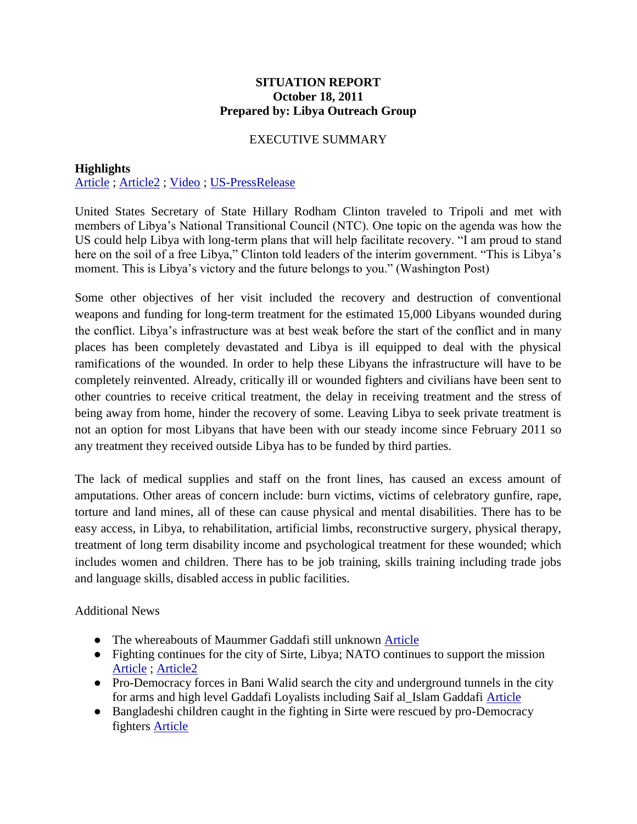## **SITUATION REPORT October 18, 2011 Prepared by: Libya Outreach Group**

## EXECUTIVE SUMMARY

## **Highlights** [Article](http://www.washingtonpost.com/world/national-security/clinton-arrives-in-libya-bearing-aid-and-encouragement/2011/10/18/gIQAD5rmtL_story.html) ; [Article2](http://english.cri.cn/6966/2011/10/18/2021s663332.htm) ; [Video](http://www.washingtonpost.com/world/hillary-clinton-arrives-in-libya/2011/10/18/gIQAFdNNuL_video.html) ; [US-PressRelease](http://www.state.gov/r/pa/prs/ps/2011/10/175673.htm)

United States Secretary of State Hillary Rodham Clinton traveled to Tripoli and met with members of Libya's National Transitional Council (NTC). One topic on the agenda was how the US could help Libya with long-term plans that will help facilitate recovery. "I am proud to stand here on the soil of a free Libya," Clinton told leaders of the interim government. "This is Libya's moment. This is Libya's victory and the future belongs to you." (Washington Post)

Some other objectives of her visit included the recovery and destruction of conventional weapons and funding for long-term treatment for the estimated 15,000 Libyans wounded during the conflict. Libya's infrastructure was at best weak before the start of the conflict and in many places has been completely devastated and Libya is ill equipped to deal with the physical ramifications of the wounded. In order to help these Libyans the infrastructure will have to be completely reinvented. Already, critically ill or wounded fighters and civilians have been sent to other countries to receive critical treatment, the delay in receiving treatment and the stress of being away from home, hinder the recovery of some. Leaving Libya to seek private treatment is not an option for most Libyans that have been with our steady income since February 2011 so any treatment they received outside Libya has to be funded by third parties.

The lack of medical supplies and staff on the front lines, has caused an excess amount of amputations. Other areas of concern include: burn victims, victims of celebratory gunfire, rape, torture and land mines, all of these can cause physical and mental disabilities. There has to be easy access, in Libya, to rehabilitation, artificial limbs, reconstructive surgery, physical therapy, treatment of long term disability income and psychological treatment for these wounded; which includes women and children. There has to be job training, skills training including trade jobs and language skills, disabled access in public facilities.

Additional News

- The whereabouts of Maummer Gaddafi still unknown [Article](http://www.google.com/hostednews/ap/article/ALeqM5jEgPcWSAoRF1R_A6OHlPK5Y3cuBA?docId=838fa6976ee646af9e1d569ee8fb8b66)
- Fighting continues for the city of Sirte, Libya; NATO continues to support the mission [Article](http://www.google.com/hostednews/ap/article/ALeqM5jEgPcWSAoRF1R_A6OHlPK5Y3cuBA?docId=838fa6976ee646af9e1d569ee8fb8b66) ; [Article2](http://news.nationalpost.com/2011/10/18/hillary-clinton-visits-libya-urges-new-government-to-establish-firmer-control-muammar-gaddafi/)
- Pro-Democracy forces in Bani Walid search the city and underground tunnels in the city for arms and high level Gaddafi Loyalists including Saif al\_Islam Gaddafi [Article](http://www.google.com/hostednews/ap/article/ALeqM5jEgPcWSAoRF1R_A6OHlPK5Y3cuBA?docId=838fa6976ee646af9e1d569ee8fb8b66)
- Bangladeshi children caught in the fighting in Sirte were rescued by pro-Democracy fighters [Article](http://www.foxnews.com/world/2011/10/18/libyan-revolutionary-fighters-rescue-bangladeshi-children-trapped-in-sirte/)